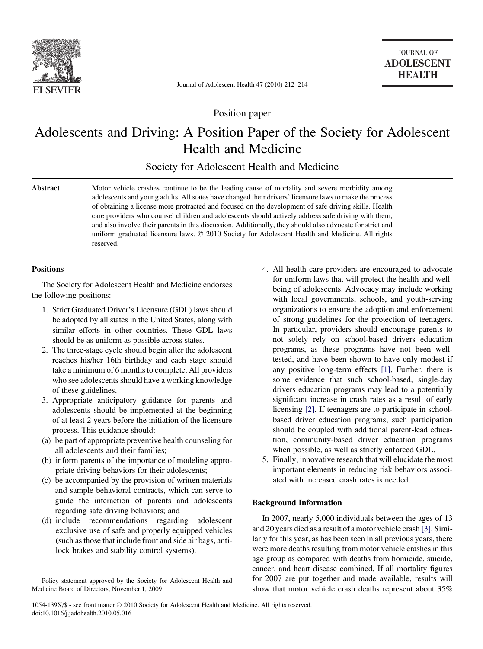

Journal of Adolescent Health 47 (2010) 212–214

Position paper

# Adolescents and Driving: A Position Paper of the Society for Adolescent Health and Medicine

Society for Adolescent Health and Medicine

Abstract Motor vehicle crashes continue to be the leading cause of mortality and severe morbidity among adolescents and young adults. All states have changed their drivers' licensure laws to make the process of obtaining a license more protracted and focused on the development of safe driving skills. Health care providers who counsel children and adolescents should actively address safe driving with them, and also involve their parents in this discussion. Additionally, they should also advocate for strict and uniform graduated licensure laws. © 2010 Society for Adolescent Health and Medicine. All rights reserved.

## **Positions**

The Society for Adolescent Health and Medicine endorses the following positions:

- 1. Strict Graduated Driver's Licensure (GDL) laws should be adopted by all states in the United States, along with similar efforts in other countries. These GDL laws should be as uniform as possible across states.
- 2. The three-stage cycle should begin after the adolescent reaches his/her 16th birthday and each stage should take a minimum of 6 months to complete. All providers who see adolescents should have a working knowledge of these guidelines.
- 3. Appropriate anticipatory guidance for parents and adolescents should be implemented at the beginning of at least 2 years before the initiation of the licensure process. This guidance should:
- (a) be part of appropriate preventive health counseling for all adolescents and their families;
- (b) inform parents of the importance of modeling appropriate driving behaviors for their adolescents;
- (c) be accompanied by the provision of written materials and sample behavioral contracts, which can serve to guide the interaction of parents and adolescents regarding safe driving behaviors; and
- (d) include recommendations regarding adolescent exclusive use of safe and properly equipped vehicles (such as those that include front and side air bags, antilock brakes and stability control systems).
- 4. All health care providers are encouraged to advocate for uniform laws that will protect the health and wellbeing of adolescents. Advocacy may include working with local governments, schools, and youth-serving organizations to ensure the adoption and enforcement of strong guidelines for the protection of teenagers. In particular, providers should encourage parents to not solely rely on school-based drivers education programs, as these programs have not been welltested, and have been shown to have only modest if any positive long-term effects [\[1\]](#page-1-0). Further, there is some evidence that such school-based, single-day drivers education programs may lead to a potentially significant increase in crash rates as a result of early licensing [\[2\]](#page-2-0). If teenagers are to participate in schoolbased driver education programs, such participation should be coupled with additional parent-lead education, community-based driver education programs when possible, as well as strictly enforced GDL.
- 5. Finally, innovative research that will elucidate the most important elements in reducing risk behaviors associated with increased crash rates is needed.

## Background Information

In 2007, nearly 5,000 individuals between the ages of 13 and 20 years died as a result of a motor vehicle crash [\[3\]](#page-2-0). Similarly for this year, as has been seen in all previous years, there were more deaths resulting from motor vehicle crashes in this age group as compared with deaths from homicide, suicide, cancer, and heart disease combined. If all mortality figures for 2007 are put together and made available, results will show that motor vehicle crash deaths represent about 35%

Policy statement approved by the Society for Adolescent Health and Medicine Board of Directors, November 1, 2009

<sup>1054-139</sup>X/\$ - see front matter © 2010 Society for Adolescent Health and Medicine. All rights reserved. doi:10.1016/j.jadohealth.2010.05.016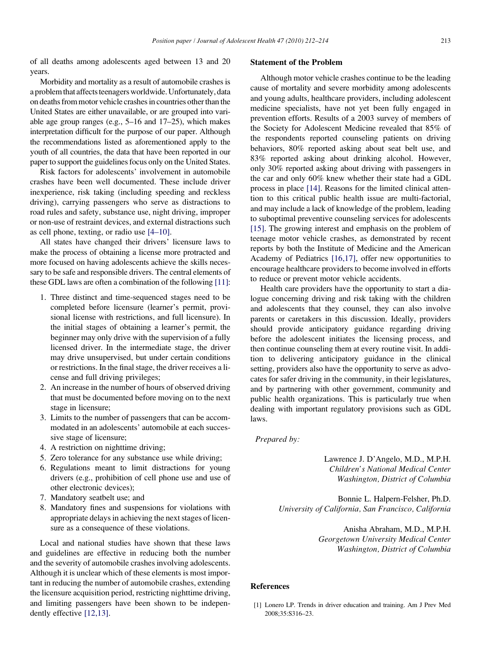<span id="page-1-0"></span>of all deaths among adolescents aged between 13 and 20 years.

Morbidity and mortality as a result of automobile crashes is a problem that affects teenagers worldwide. Unfortunately, data on deaths from motor vehicle crashes in countries other than the United States are either unavailable, or are grouped into variable age group ranges (e.g., 5–16 and 17–25), which makes interpretation difficult for the purpose of our paper. Although the recommendations listed as aforementioned apply to the youth of all countries, the data that have been reported in our paper to support the guidelines focus only on the United States.

Risk factors for adolescents' involvement in automobile crashes have been well documented. These include driver inexperience, risk taking (including speeding and reckless driving), carrying passengers who serve as distractions to road rules and safety, substance use, night driving, improper or non-use of restraint devices, and external distractions such as cell phone, texting, or radio use [\[4–10\].](#page-2-0)

All states have changed their drivers' licensure laws to make the process of obtaining a license more protracted and more focused on having adolescents achieve the skills necessary to be safe and responsible drivers. The central elements of these GDL laws are often a combination of the following [\[11\]](#page-2-0):

- 1. Three distinct and time-sequenced stages need to be completed before licensure (learner's permit, provisional license with restrictions, and full licensure). In the initial stages of obtaining a learner's permit, the beginner may only drive with the supervision of a fully licensed driver. In the intermediate stage, the driver may drive unsupervised, but under certain conditions or restrictions. In the final stage, the driver receives a license and full driving privileges;
- 2. An increase in the number of hours of observed driving that must be documented before moving on to the next stage in licensure;
- 3. Limits to the number of passengers that can be accommodated in an adolescents' automobile at each successive stage of licensure;
- 4. A restriction on nighttime driving;
- 5. Zero tolerance for any substance use while driving;
- 6. Regulations meant to limit distractions for young drivers (e.g., prohibition of cell phone use and use of other electronic devices);
- 7. Mandatory seatbelt use; and
- 8. Mandatory fines and suspensions for violations with appropriate delays in achieving the next stages of licensure as a consequence of these violations.

Local and national studies have shown that these laws and guidelines are effective in reducing both the number and the severity of automobile crashes involving adolescents. Although it is unclear which of these elements is most important in reducing the number of automobile crashes, extending the licensure acquisition period, restricting nighttime driving, and limiting passengers have been shown to be independently effective [\[12,13\]](#page-2-0).

### Statement of the Problem

Although motor vehicle crashes continue to be the leading cause of mortality and severe morbidity among adolescents and young adults, healthcare providers, including adolescent medicine specialists, have not yet been fully engaged in prevention efforts. Results of a 2003 survey of members of the Society for Adolescent Medicine revealed that 85% of the respondents reported counseling patients on driving behaviors, 80% reported asking about seat belt use, and 83% reported asking about drinking alcohol. However, only 30% reported asking about driving with passengers in the car and only 60% knew whether their state had a GDL process in place [\[14\]](#page-2-0). Reasons for the limited clinical attention to this critical public health issue are multi-factorial, and may include a lack of knowledge of the problem, leading to suboptimal preventive counseling services for adolescents [\[15\]](#page-2-0). The growing interest and emphasis on the problem of teenage motor vehicle crashes, as demonstrated by recent reports by both the Institute of Medicine and the American Academy of Pediatrics [\[16,17\]](#page-2-0), offer new opportunities to encourage healthcare providers to become involved in efforts to reduce or prevent motor vehicle accidents.

Health care providers have the opportunity to start a dialogue concerning driving and risk taking with the children and adolescents that they counsel, they can also involve parents or caretakers in this discussion. Ideally, providers should provide anticipatory guidance regarding driving before the adolescent initiates the licensing process, and then continue counseling them at every routine visit. In addition to delivering anticipatory guidance in the clinical setting, providers also have the opportunity to serve as advocates for safer driving in the community, in their legislatures, and by partnering with other government, community and public health organizations. This is particularly true when dealing with important regulatory provisions such as GDL laws.

#### Prepared by:

Lawrence J. D'Angelo, M.D., M.P.H. Children's National Medical Center Washington, District of Columbia

Bonnie L. Halpern-Felsher, Ph.D. University of California, San Francisco, California

> Anisha Abraham, M.D., M.P.H. Georgetown University Medical Center Washington, District of Columbia

#### References

[1] Lonero LP. Trends in driver education and training. Am J Prev Med 2008;35:S316–23.